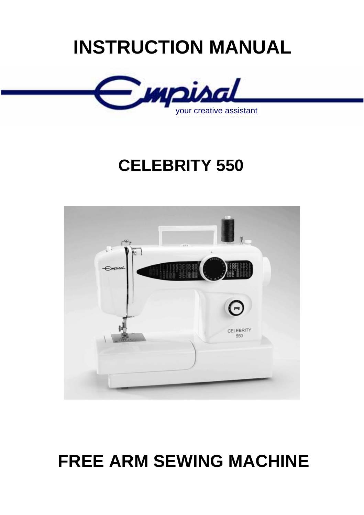# **INSTRUCTION MANUAL**



# **CELEBRITY 550**



# **FREE ARM SEWING MACHINE**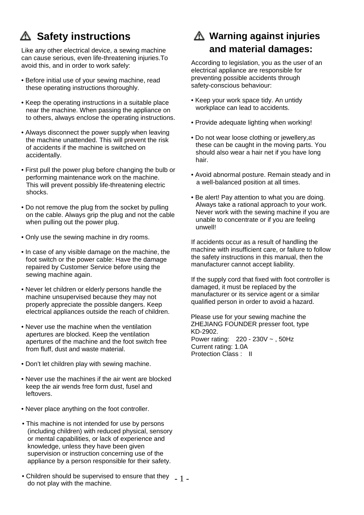# **Safety instructions**

Like any other electrical device, a sewing machine can cause serious, even life-threatening injuries.To avoid this, and in order to work safely:

- Before initial use of your sewing machine, read these operating instructions thoroughly.
- Keep the operating instructions in a suitable place near the machine. When passing the appliance on to others, always enclose the operating instructions.
- Always disconnect the power supply when leaving the machine unattended. This will prevent the risk of accidents if the machine is switched on accidentally.
- First pull the power plug before changing the bulb or performing maintenance work on the machine. This will prevent possibly life-threatening electric shocks.
- Do not remove the plug from the socket by pulling on the cable. Always grip the plug and not the cable when pulling out the power plug.
- Only use the sewing machine in dry rooms.
- In case of any visible damage on the machine, the foot switch or the power cable: Have the damage repaired by Customer Service before using the sewing machine again.
- Never let children or elderly persons handle the machine unsupervised because they may not properly appreciate the possible dangers. Keep electrical appliances outside the reach of children.
- Never use the machine when the ventilation apertures are blocked. Keep the ventilation apertures of the machine and the foot switch free from fluff, dust and waste material.
- Don't let children play with sewing machine.
- Never use the machines if the air went are blocked keep the air wends free form dust, fusel and leftovers.
- Never place anything on the foot controller.
- This machine is not intended for use by persons (including children) with reduced physical, sensory or mental capabilities, or lack of experience and knowledge, unless they have been given supervision or instruction concerning use of the appliance by a person responsible for their safety.
- Children should be supervised to ensure that they  $-1$  do not play with the machine.

# **Warning against injuries and material damages:**

According to legislation, you as the user of an electrical appliance are responsible for preventing possible accidents through safety-conscious behaviour:

- Keep your work space tidy. An untidy workplace can lead to accidents.
- Provide adequate lighting when working!
- Do not wear loose clothing or jewellery,as these can be caught in the moving parts. You should also wear a hair net if you have long hair.
- Avoid abnormal posture. Remain steady and in a well-balanced position at all times.
- Be alert! Pay attention to what you are doing. Always take a rational approach to your work. Never work with the sewing machine if you are unable to concentrate or if you are feeling unwell!

If accidents occur as a result of handling the machine with insufficient care, or failure to follow the safety instructions in this manual, then the manufacturer cannot accept liability.

If the supply cord that fixed with foot controller is damaged, it must be replaced by the manufacturer or its service agent or a similar qualified person in order to avoid a hazard.

Please use for your sewing machine the ZHEJIANG FOUNDER presser foot, type KD-2902. Power rating: 220 - 230V ~ , 50Hz Current rating: 1.0A Protection Class : II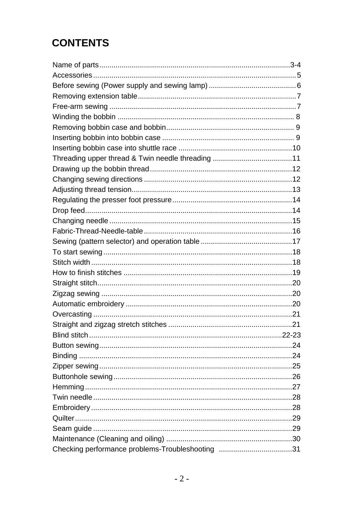# **CONTENTS**

| Checking performance problems-Troubleshooting 31 |  |
|--------------------------------------------------|--|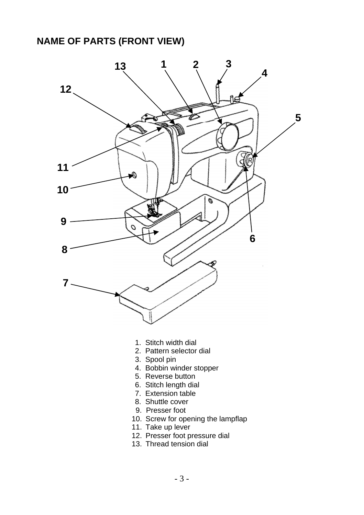#### **NAME OF PARTS (FRONT VIEW)**



- 1. Stitch width dial
- 2. Pattern selector dial
- 3. Spool pin
- 4. Bobbin winder stopper
- 5. Reverse button
- 6. Stitch length dial
- 7. Extension table
- 8. Shuttle cover
- 9. Presser foot
- 10. Screw for opening the lampflap
- 11. Take up lever
- 12. Presser foot pressure dial
- 13. Thread tension dial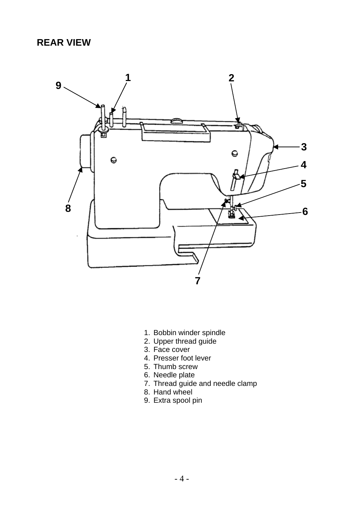## **REAR VIEW**



- 1. Bobbin winder spindle
- 2. Upper thread guide
- 3. Face cover
- 4. Presser foot lever
- 5. Thumb screw
- 6. Needle plate
- 7. Thread guide and needle clamp
- 8. Hand wheel
- 9. Extra spool pin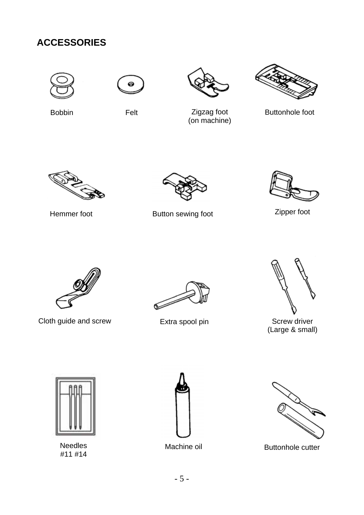# **ACCESSORIES**









Bobbin

Felt **Zigzag foot** (on machine)

Buttonhole foot



Button sewing foot Hemmer foot Zipper foot



Cloth guide and screw Extra spool pin





Screw driver (Large & small)



Needles #11 #14





Machine oil **Buttonhole cutter**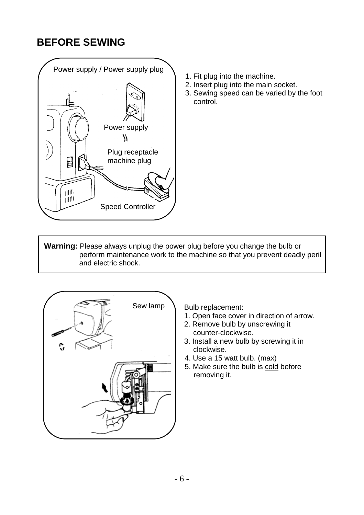# **BEFORE SEWING**



- 1. Fit plug into the machine.
- 2. Insert plug into the main socket.
- 3. Sewing speed can be varied by the foot control.

**Warning:** Please always unplug the power plug before you change the bulb or perform maintenance work to the machine so that you prevent deadly peril and electric shock.



Bulb replacement:

- 1. Open face cover in direction of arrow.
- 2. Remove bulb by unscrewing it counter-clockwise.
- 3. Install a new bulb by screwing it in clockwise.
- 4. Use a 15 watt bulb. (max)
- 5. Make sure the bulb is cold before removing it.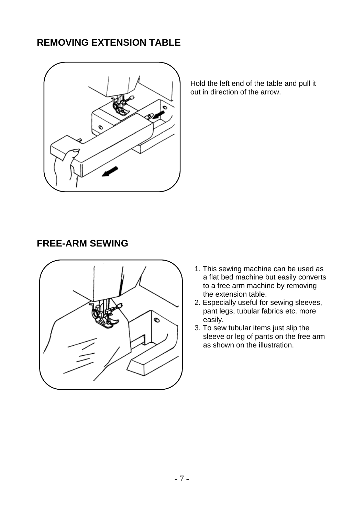# **REMOVING EXTENSION TABLE**



Hold the left end of the table and pull it out in direction of the arrow.

#### **FREE-ARM SEWING**



- 1. This sewing machine can be used as a flat bed machine but easily converts to a free arm machine by removing the extension table.
- 2. Especially useful for sewing sleeves, pant legs, tubular fabrics etc. more easily.
- 3. To sew tubular items just slip the sleeve or leg of pants on the free arm as shown on the illustration.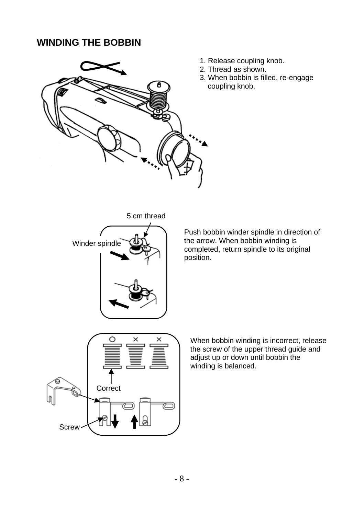# **WINDING THE BOBBIN**



- 1. Release coupling knob.
- 2. Thread as shown.
- 3. When bobbin is filled, re-engage coupling knob.

5 cm thread



Push bobbin winder spindle in direction of the arrow. When bobbin winding is completed, return spindle to its original position.



When bobbin winding is incorrect, release the screw of the upper thread guide and adjust up or down until bobbin the winding is balanced.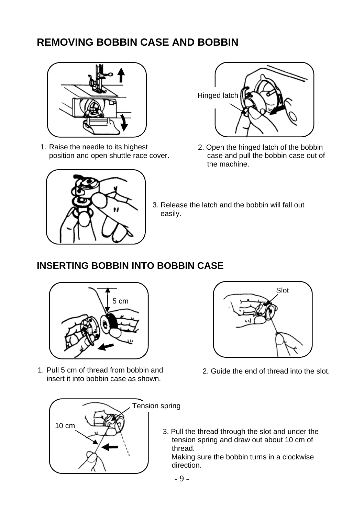# **REMOVING BOBBIN CASE AND BOBBIN**



1. Raise the needle to its highest position and open shuttle race cover.



- Hinged latch
- 2. Open the hinged latch of the bobbin case and pull the bobbin case out of the machine.
- 3. Release the latch and the bobbin will fall out easily.

# **INSERTING BOBBIN INTO BOBBIN CASE**



1. Pull 5 cm of thread from bobbin and insert it into bobbin case as shown.





- 2. Guide the end of thread into the slot.
- 3. Pull the thread through the slot and under the tension spring and draw out about 10 cm of thread.

 Making sure the bobbin turns in a clockwise direction.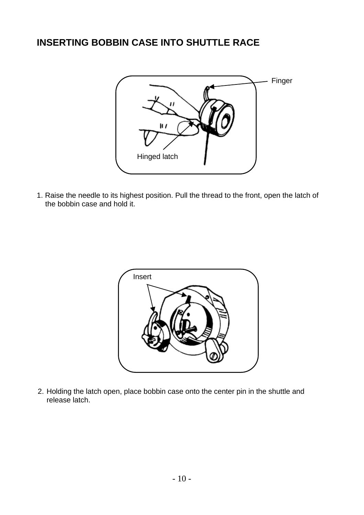# **INSERTING BOBBIN CASE INTO SHUTTLE RACE**



1. Raise the needle to its highest position. Pull the thread to the front, open the latch of the bobbin case and hold it.



2. Holding the latch open, place bobbin case onto the center pin in the shuttle and release latch.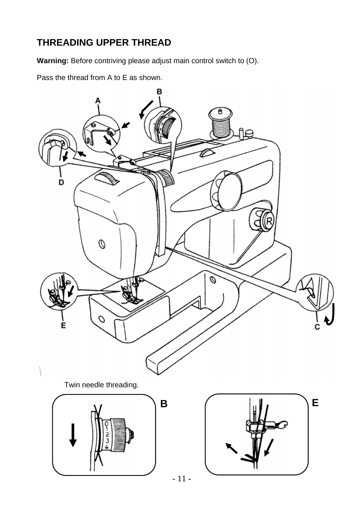# **THREADING UPPER THREAD**

**Warning:** Before contriving please adjust main control switch to (O).

Pass the thread from A to E as shown.

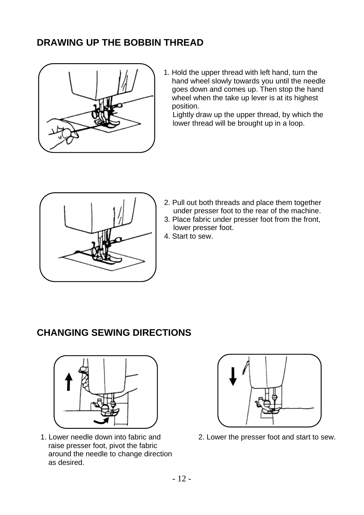# **DRAWING UP THE BOBBIN THREAD**



1. Hold the upper thread with left hand, turn the hand wheel slowly towards you until the needle goes down and comes up. Then stop the hand wheel when the take up lever is at its highest position.

Lightly draw up the upper thread, by which the lower thread will be brought up in a loop.



- 2. Pull out both threads and place them together under presser foot to the rear of the machine.
- 3. Place fabric under presser foot from the front, lower presser foot.
- 4. Start to sew.

# **CHANGING SEWING DIRECTIONS**



1. Lower needle down into fabric and raise presser foot, pivot the fabric around the needle to change direction as desired.



2. Lower the presser foot and start to sew.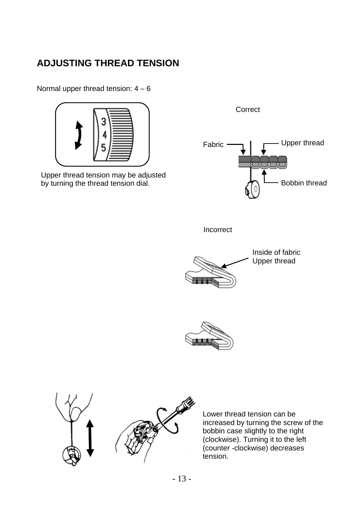# **ADJUSTING THREAD TENSION**

Normal upper thread tension:  $4 - 6$ 



Upper thread tension may be adjusted by turning the thread tension dial.

Correct Upper thread Fabric **EXAMPLE STATE** Bobbin thread Incorrect



Inside of fabric Upper thread





Lower thread tension can be increased by turning the screw of the bobbin case slightly to the right (clockwise). Turning it to the left (counter -clockwise) decreases tension.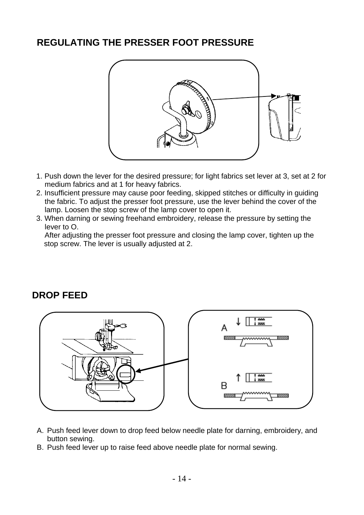# **REGULATING THE PRESSER FOOT PRESSURE**



- 1. Push down the lever for the desired pressure; for light fabrics set lever at 3, set at 2 for medium fabrics and at 1 for heavy fabrics.
- 2. Insufficient pressure may cause poor feeding, skipped stitches or difficulty in guiding the fabric. To adjust the presser foot pressure, use the lever behind the cover of the lamp. Loosen the stop screw of the lamp cover to open it.
- 3. When darning or sewing freehand embroidery, release the pressure by setting the lever to O.

After adjusting the presser foot pressure and closing the lamp cover, tighten up the stop screw. The lever is usually adjusted at 2.

#### **DROP FEED**



- A. Push feed lever down to drop feed below needle plate for darning, embroidery, and button sewing.
- B. Push feed lever up to raise feed above needle plate for normal sewing.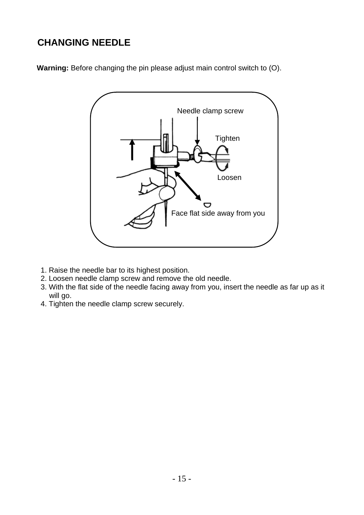# **CHANGING NEEDLE**

**Warning:** Before changing the pin please adjust main control switch to (O).



- 1. Raise the needle bar to its highest position.
- 2. Loosen needle clamp screw and remove the old needle.
- 3. With the flat side of the needle facing away from you, insert the needle as far up as it will go.
- 4. Tighten the needle clamp screw securely.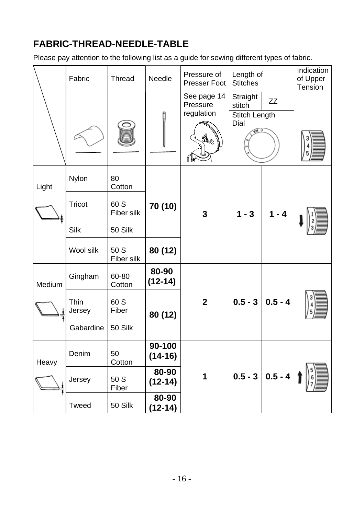# **FABRIC-THREAD-NEEDLE-TABLE**

Please pay attention to the following list as a guide for sewing different types of fabric.

|        | Fabric         | Thread             | Needle              | Pressure of<br>Presser Foot                                                        | Length of<br><b>Stitches</b>                               |                        | Indication<br>of Upper<br>Tension |
|--------|----------------|--------------------|---------------------|------------------------------------------------------------------------------------|------------------------------------------------------------|------------------------|-----------------------------------|
|        |                |                    |                     | See page 14<br>Pressure<br>regulation<br>$\mathscr{A}^{\mathscr{O}}$ $\frac{3}{2}$ | Straight<br>stitch<br>Stitch Length<br>Dial<br>$\sqrt{10}$ | ZZ                     |                                   |
| Light  | Nylon          | 80<br>Cotton       |                     |                                                                                    |                                                            |                        |                                   |
|        | Tricot         | 60 S<br>Fiber silk | 70 (10)             | 3                                                                                  | $1 - 3$                                                    | $1 - 4$                |                                   |
|        | Silk           | 50 Silk            |                     |                                                                                    |                                                            |                        |                                   |
|        | Wool silk      | 50 S<br>Fiber silk | 80 (12)             |                                                                                    |                                                            |                        |                                   |
| Medium | Gingham        | 60-80<br>Cotton    | 80-90<br>$(12-14)$  |                                                                                    |                                                            |                        |                                   |
|        | Thin<br>Jersey | 60 S<br>Fiber      | 80 (12)             | $\overline{2}$                                                                     | $0.5 - 3$                                                  | $0.5 - 4$              |                                   |
|        | Gabardine      | 50 Silk            |                     |                                                                                    |                                                            |                        |                                   |
| Heavy  | Denim          | 50<br>Cotton       | 90-100<br>$(14-16)$ |                                                                                    |                                                            |                        |                                   |
|        | Jersey         | 50 S<br>Fiber      | 80-90<br>$(12-14)$  | 1                                                                                  |                                                            | $0.5 - 3 \mid 0.5 - 4$ |                                   |
|        | Tweed          | 50 Silk            | 80-90<br>$(12-14)$  |                                                                                    |                                                            |                        |                                   |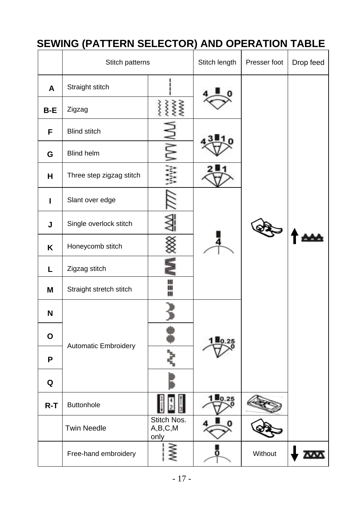# **SEWING (PATTERN SELECTOR) AND OPERATION TABLE**

|              | Stitch patterns             | Stitch length                  | Presser foot | Drop feed |  |
|--------------|-----------------------------|--------------------------------|--------------|-----------|--|
| A            | Straight stitch             |                                |              |           |  |
| B-E          | Zigzag                      | XXXX                           |              |           |  |
| F            | <b>Blind stitch</b>         |                                |              |           |  |
| G            | <b>Blind helm</b>           |                                |              |           |  |
| н            | Three step zigzag stitch    |                                |              |           |  |
| $\mathbf{I}$ | Slant over edge             |                                |              |           |  |
| J            | Single overlock stitch      |                                |              |           |  |
| K            | Honeycomb stitch            |                                |              |           |  |
| L            | Zigzag stitch               |                                |              |           |  |
| М            | Straight stretch stitch     | ⊪                              |              |           |  |
| N            |                             |                                |              |           |  |
| $\mathbf{o}$ | <b>Automatic Embroidery</b> |                                |              |           |  |
| P            |                             |                                |              |           |  |
| Q            |                             |                                |              |           |  |
| $R-T$        | <b>Buttonhole</b>           |                                | 0.25         |           |  |
|              | <b>Twin Needle</b>          | Stitch Nos.<br>A,B,C,M<br>only |              |           |  |
|              | Free-hand embroidery        |                                | 0            | Without   |  |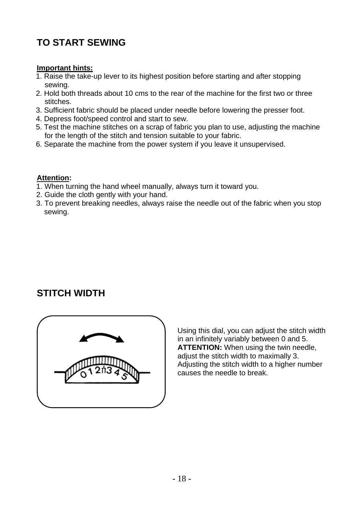# **TO START SEWING**

#### **Important hints:**

- 1. Raise the take-up lever to its highest position before starting and after stopping sewing.
- 2. Hold both threads about 10 cms to the rear of the machine for the first two or three stitches.
- 3. Sufficient fabric should be placed under needle before lowering the presser foot.
- 4. Depress foot/speed control and start to sew.
- 5. Test the machine stitches on a scrap of fabric you plan to use, adjusting the machine for the length of the stitch and tension suitable to your fabric.
- 6. Separate the machine from the power system if you leave it unsupervised.

#### **Attention:**

- 1. When turning the hand wheel manually, always turn it toward you.
- 2. Guide the cloth gently with your hand.
- 3. To prevent breaking needles, always raise the needle out of the fabric when you stop sewing.

# **STITCH WIDTH**



Using this dial, you can adjust the stitch width in an infinitely variably between 0 and 5. **ATTENTION:** When using the twin needle, adjust the stitch width to maximally 3. Adjusting the stitch width to a higher number causes the needle to break.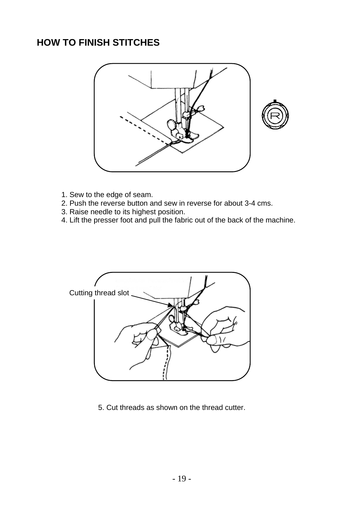## **HOW TO FINISH STITCHES**



- 1. Sew to the edge of seam.
- 2. Push the reverse button and sew in reverse for about 3-4 cms.
- 3. Raise needle to its highest position.
- 4. Lift the presser foot and pull the fabric out of the back of the machine.



5. Cut threads as shown on the thread cutter.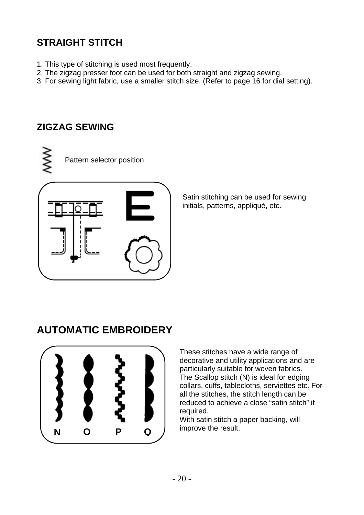# **STRAIGHT STITCH**

- 1. This type of stitching is used most frequently.
- 2. The zigzag presser foot can be used for both straight and zigzag sewing.
- 3. For sewing light fabric, use a smaller stitch size. (Refer to page 16 for dial setting).

# **ZIGZAG SEWING**





Satin stitching can be used for sewing initials, patterns, appliqué, etc.

# **AUTOMATIC EMBROIDERY**



These stitches have a wide range of decorative and utility applications and are particularly suitable for woven fabrics. The Scallop stitch (N) is ideal for edging collars, cuffs, tablecloths, serviettes etc. For all the stitches, the stitch length can be reduced to achieve a close "satin stitch" if required.

With satin stitch a paper backing, will improve the result.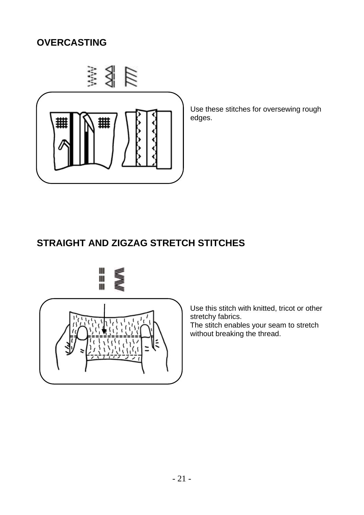# **OVERCASTING**



Use these stitches for oversewing rough edges.

# **STRAIGHT AND ZIGZAG STRETCH STITCHES**





Use this stitch with knitted, tricot or other stretchy fabrics.

The stitch enables your seam to stretch without breaking the thread.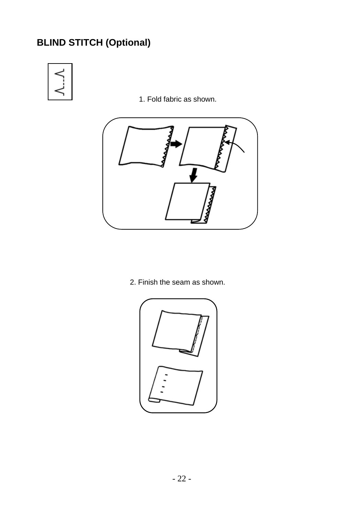# **BLIND STITCH (Optional)**



1. Fold fabric as shown.



2. Finish the seam as shown.

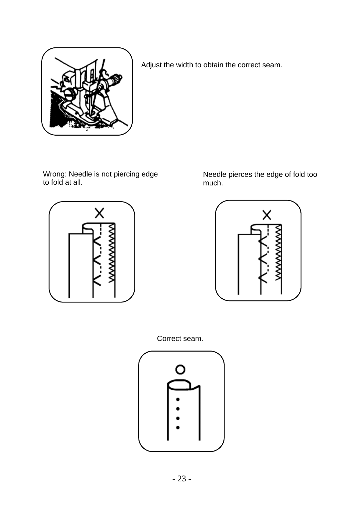

Adjust the width to obtain the correct seam.

Wrong: Needle is not piercing edge to fold at all.



Needle pierces the edge of fold too much.



Correct seam.

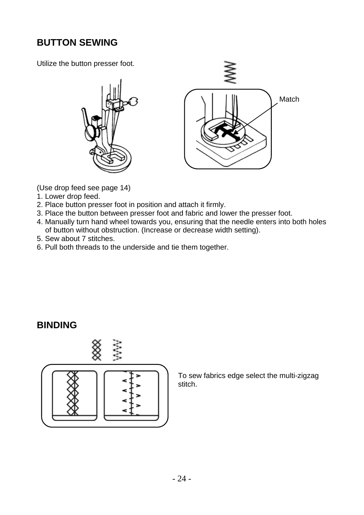# **BUTTON SEWING**

Utilize the button presser foot.



(Use drop feed see page 14)

- 1. Lower drop feed.
- 2. Place button presser foot in position and attach it firmly.
- 3. Place the button between presser foot and fabric and lower the presser foot.
- 4. Manually turn hand wheel towards you, ensuring that the needle enters into both holes of button without obstruction. (Increase or decrease width setting).
- 5. Sew about 7 stitches.
- 6. Pull both threads to the underside and tie them together.

#### **BINDING**



To sew fabrics edge select the multi-zigzag stitch.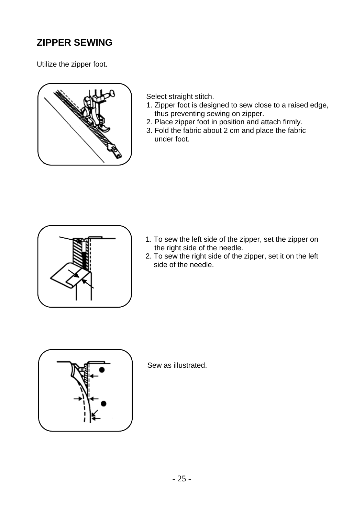# **ZIPPER SEWING**

Utilize the zipper foot.



Select straight stitch.

- 1. Zipper foot is designed to sew close to a raised edge, thus preventing sewing on zipper.
- 2. Place zipper foot in position and attach firmly.
- 3. Fold the fabric about 2 cm and place the fabric under foot.



- 1. To sew the left side of the zipper, set the zipper on the right side of the needle.
- 2. To sew the right side of the zipper, set it on the left side of the needle.



Sew as illustrated.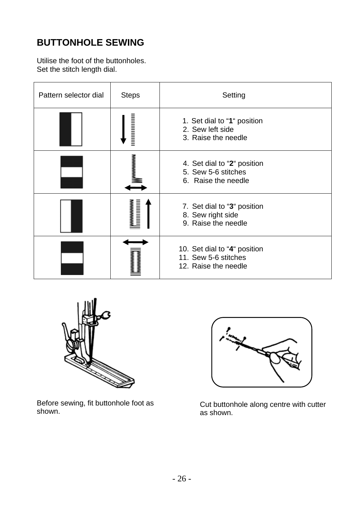# **BUTTONHOLE SEWING**

Utilise the foot of the buttonholes. Set the stitch length dial.

| Pattern selector dial | <b>Steps</b>            | Setting                                                                      |
|-----------------------|-------------------------|------------------------------------------------------------------------------|
|                       |                         | 1. Set dial to "1" position<br>2. Sew left side<br>3. Raise the needle       |
|                       | wwwww                   | 4. Set dial to "2" position<br>5. Sew 5-6 stitches<br>6. Raise the needle    |
|                       | wwwwww                  | 7. Set dial to "3" position<br>8. Sew right side<br>9. Raise the needle      |
|                       | <b>MMMMMM</b><br>MMMMMM | 10. Set dial to "4" position<br>11. Sew 5-6 stitches<br>12. Raise the needle |



Before sewing, fit buttonhole foot as shown.



Cut buttonhole along centre with cutter as shown.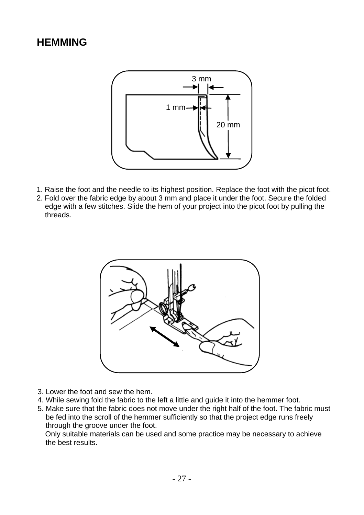# **HEMMING**



- 1. Raise the foot and the needle to its highest position. Replace the foot with the picot foot.
- 2. Fold over the fabric edge by about 3 mm and place it under the foot. Secure the folded edge with a few stitches. Slide the hem of your project into the picot foot by pulling the threads.



- 3. Lower the foot and sew the hem.
- 4. While sewing fold the fabric to the left a little and guide it into the hemmer foot.
- 5. Make sure that the fabric does not move under the right half of the foot. The fabric must be fed into the scroll of the hemmer sufficiently so that the project edge runs freely through the groove under the foot.

Only suitable materials can be used and some practice may be necessary to achieve the best results.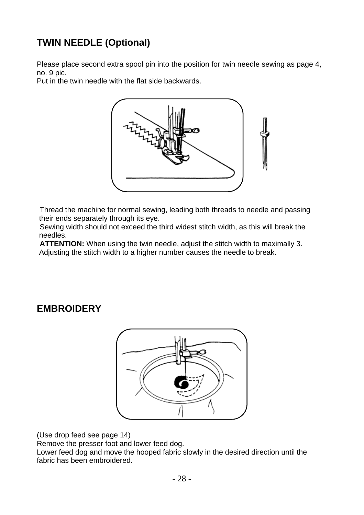# **TWIN NEEDLE (Optional)**

Please place second extra spool pin into the position for twin needle sewing as page 4, no. 9 pic.

Put in the twin needle with the flat side backwards.



Thread the machine for normal sewing, leading both threads to needle and passing their ends separately through its eye.

Sewing width should not exceed the third widest stitch width, as this will break the needles.

**ATTENTION:** When using the twin needle, adjust the stitch width to maximally 3. Adjusting the stitch width to a higher number causes the needle to break.

# **EMBROIDERY**



(Use drop feed see page 14)

Remove the presser foot and lower feed dog.

Lower feed dog and move the hooped fabric slowly in the desired direction until the fabric has been embroidered.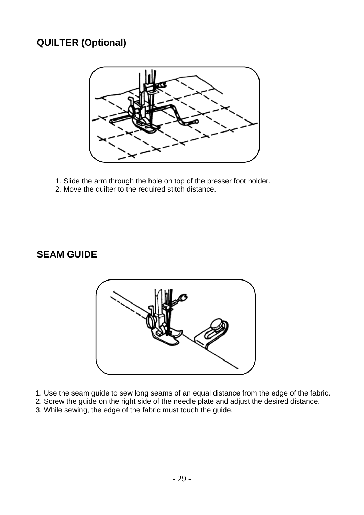# **QUILTER (Optional)**



- 1. Slide the arm through the hole on top of the presser foot holder.
- 2. Move the quilter to the required stitch distance.

# **SEAM GUIDE**



- 1. Use the seam guide to sew long seams of an equal distance from the edge of the fabric.
- 2. Screw the guide on the right side of the needle plate and adjust the desired distance.
- 3. While sewing, the edge of the fabric must touch the guide.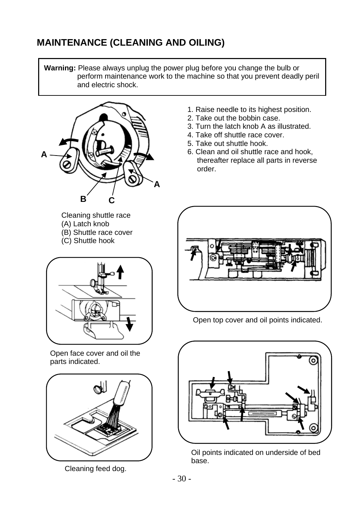# **MAINTENANCE (CLEANING AND OILING)**

**Warning:** Please always unplug the power plug before you change the bulb or perform maintenance work to the machine so that you prevent deadly peril and electric shock.



- 1. Raise needle to its highest position.
- 2. Take out the bobbin case.
- 3. Turn the latch knob A as illustrated.
- 4. Take off shuttle race cover.
- 5. Take out shuttle hook.
- 6. Clean and oil shuttle race and hook, thereafter replace all parts in reverse order.



Open top cover and oil points indicated.



Oil points indicated on underside of bed base.

(A) Latch knob (B) Shuttle race cover (C) Shuttle hook



Open face cover and oil the parts indicated.



Cleaning feed dog.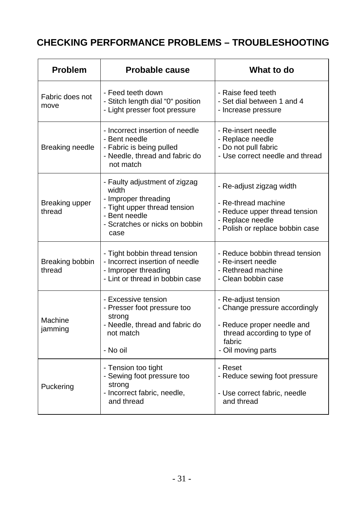# **CHECKING PERFORMANCE PROBLEMS – TROUBLESHOOTING**

| <b>Problem</b>            | <b>Probable cause</b>                                                                                                                                     | What to do                                                                                                                                        |
|---------------------------|-----------------------------------------------------------------------------------------------------------------------------------------------------------|---------------------------------------------------------------------------------------------------------------------------------------------------|
| Fabric does not<br>move   | - Feed teeth down<br>- Stitch length dial "0" position<br>- Light presser foot pressure                                                                   | - Raise feed teeth<br>- Set dial between 1 and 4<br>- Increase pressure                                                                           |
| <b>Breaking needle</b>    | - Incorrect insertion of needle<br>- Bent needle<br>- Fabric is being pulled<br>- Needle, thread and fabric do<br>not match                               | - Re-insert needle<br>- Replace needle<br>- Do not pull fabric<br>- Use correct needle and thread                                                 |
| Breaking upper<br>thread  | - Faulty adjustment of zigzag<br>width<br>- Improper threading<br>- Tight upper thread tension<br>- Bent needle<br>- Scratches or nicks on bobbin<br>case | - Re-adjust zigzag width<br>- Re-thread machine<br>- Reduce upper thread tension<br>- Replace needle<br>- Polish or replace bobbin case           |
| Breaking bobbin<br>thread | - Tight bobbin thread tension<br>- Incorrect insertion of needle<br>- Improper threading<br>- Lint or thread in bobbin case                               | - Reduce bobbin thread tension<br>- Re-insert needle<br>- Rethread machine<br>- Clean bobbin case                                                 |
| Machine<br>jamming        | - Excessive tension<br>- Presser foot pressure too<br>strong<br>- Needle, thread and fabric do<br>not match<br>- No oil                                   | - Re-adjust tension<br>- Change pressure accordingly<br>- Reduce proper needle and<br>thread according to type of<br>fabric<br>- Oil moving parts |
| Puckering                 | - Tension too tight<br>- Sewing foot pressure too<br>strong<br>- Incorrect fabric, needle,<br>and thread                                                  | - Reset<br>- Reduce sewing foot pressure<br>- Use correct fabric, needle<br>and thread                                                            |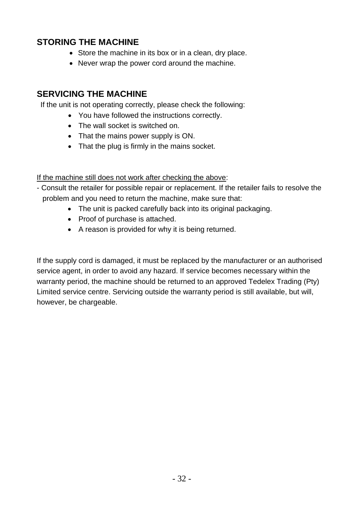#### **STORING THE MACHINE**

- Store the machine in its box or in a clean, dry place.
- Never wrap the power cord around the machine.

#### **SERVICING THE MACHINE**

If the unit is not operating correctly, please check the following:

- You have followed the instructions correctly.
- The wall socket is switched on.
- That the mains power supply is ON.
- That the plug is firmly in the mains socket.

If the machine still does not work after checking the above:

- Consult the retailer for possible repair or replacement. If the retailer fails to resolve the problem and you need to return the machine, make sure that:
	- The unit is packed carefully back into its original packaging.
	- Proof of purchase is attached.
	- A reason is provided for why it is being returned.

If the supply cord is damaged, it must be replaced by the manufacturer or an authorised service agent, in order to avoid any hazard. If service becomes necessary within the warranty period, the machine should be returned to an approved Tedelex Trading (Pty) Limited service centre. Servicing outside the warranty period is still available, but will, however, be chargeable.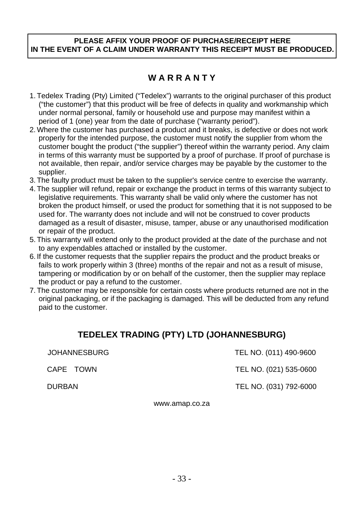#### **PLEASE AFFIX YOUR PROOF OF PURCHASE/RECEIPT HERE IN THE EVENT OF A CLAIM UNDER WARRANTY THIS RECEIPT MUST BE PRODUCED.**

### **W A R R A N T Y**

- 1. Tedelex Trading (Pty) Limited ("Tedelex") warrants to the original purchaser of this product ("the customer") that this product will be free of defects in quality and workmanship which under normal personal, family or household use and purpose may manifest within a period of 1 (one) year from the date of purchase ("warranty period").
- 2. Where the customer has purchased a product and it breaks, is defective or does not work properly for the intended purpose, the customer must notify the supplier from whom the customer bought the product ("the supplier") thereof within the warranty period. Any claim in terms of this warranty must be supported by a proof of purchase. If proof of purchase is not available, then repair, and/or service charges may be payable by the customer to the supplier.
- 3. The faulty product must be taken to the supplier's service centre to exercise the warranty.
- 4. The supplier will refund, repair or exchange the product in terms of this warranty subject to legislative requirements. This warranty shall be valid only where the customer has not broken the product himself, or used the product for something that it is not supposed to be used for. The warranty does not include and will not be construed to cover products damaged as a result of disaster, misuse, tamper, abuse or any unauthorised modification or repair of the product.
- 5. This warranty will extend only to the product provided at the date of the purchase and not to any expendables attached or installed by the customer.
- 6. If the customer requests that the supplier repairs the product and the product breaks or fails to work properly within 3 (three) months of the repair and not as a result of misuse, tampering or modification by or on behalf of the customer, then the supplier may replace the product or pay a refund to the customer.
- 7. The customer may be responsible for certain costs where products returned are not in the original packaging, or if the packaging is damaged. This will be deducted from any refund paid to the customer.

#### **TEDELEX TRADING (PTY) LTD (JOHANNESBURG)**

| JOHANNESBURG | TEL NO. (011) 490-9600 |
|--------------|------------------------|
| CAPE TOWN    | TEL NO. (021) 535-0600 |
| DURBAN       | TEL NO. (031) 792-6000 |

www.amap.co.za